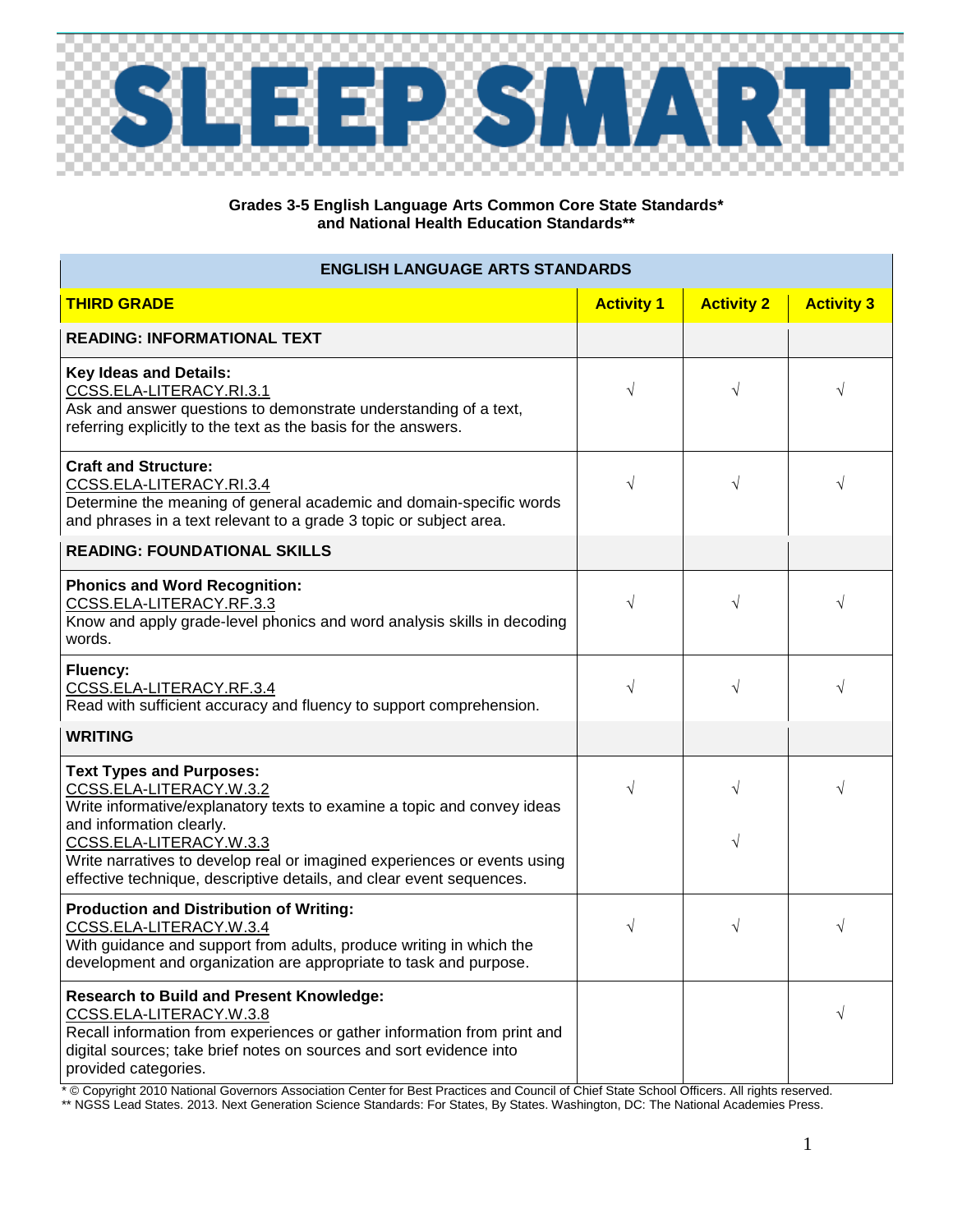

## **Grades 3-5 English Language Arts Common Core State Standards\* and National Health Education Standards\*\***

## **ENGLISH LANGUAGE ARTS STANDARDS**

| <b>THIRD GRADE</b>                                                                                                                                                                                                                                    | <b>Activity 1</b> | <b>Activity 2</b> | <b>Activity 3</b> |
|-------------------------------------------------------------------------------------------------------------------------------------------------------------------------------------------------------------------------------------------------------|-------------------|-------------------|-------------------|
| <b>READING: INFORMATIONAL TEXT</b>                                                                                                                                                                                                                    |                   |                   |                   |
| <b>Key Ideas and Details:</b><br>CCSS.ELA-LITERACY.RI.3.1<br>Ask and answer questions to demonstrate understanding of a text,<br>referring explicitly to the text as the basis for the answers.                                                       | $\sqrt{}$         | $\sqrt{}$         | $\sqrt{}$         |
| <b>Craft and Structure:</b><br>CCSS.ELA-LITERACY.RI.3.4<br>Determine the meaning of general academic and domain-specific words<br>and phrases in a text relevant to a grade 3 topic or subject area.                                                  | $\sqrt{}$         | $\sqrt{ }$        | $\sqrt{}$         |
| <b>READING: FOUNDATIONAL SKILLS</b>                                                                                                                                                                                                                   |                   |                   |                   |
| <b>Phonics and Word Recognition:</b><br>CCSS.ELA-LITERACY.RF.3.3<br>Know and apply grade-level phonics and word analysis skills in decoding<br>words.                                                                                                 | $\sqrt{}$         | $\sqrt{}$         | $\sqrt{}$         |
| Fluency:<br>CCSS.ELA-LITERACY.RF.3.4<br>Read with sufficient accuracy and fluency to support comprehension.                                                                                                                                           | $\sqrt{ }$        | $\sqrt{ }$        | $\sqrt{}$         |
| <b>WRITING</b>                                                                                                                                                                                                                                        |                   |                   |                   |
| <b>Text Types and Purposes:</b><br>CCSS.ELA-LITERACY.W.3.2<br>Write informative/explanatory texts to examine a topic and convey ideas<br>and information clearly.                                                                                     | $\sqrt{}$         | V                 | V                 |
| CCSS.ELA-LITERACY.W.3.3<br>Write narratives to develop real or imagined experiences or events using<br>effective technique, descriptive details, and clear event sequences.                                                                           |                   | $\sqrt{}$         |                   |
| <b>Production and Distribution of Writing:</b><br>CCSS.ELA-LITERACY.W.3.4<br>With guidance and support from adults, produce writing in which the<br>development and organization are appropriate to task and purpose.                                 | $\sqrt{}$         | $\sqrt{ }$        | V                 |
| <b>Research to Build and Present Knowledge:</b><br>CCSS.ELA-LITERACY.W.3.8<br>Recall information from experiences or gather information from print and<br>digital sources; take brief notes on sources and sort evidence into<br>provided categories. |                   |                   | V                 |

\* © Copyright 2010 National Governors Association Center for Best Practices and Council of Chief State School Officers. All rights reserved. \*\* NGSS Lead States. 2013. Next Generation Science Standards: For States, By States. Washington, DC: The National Academies Press.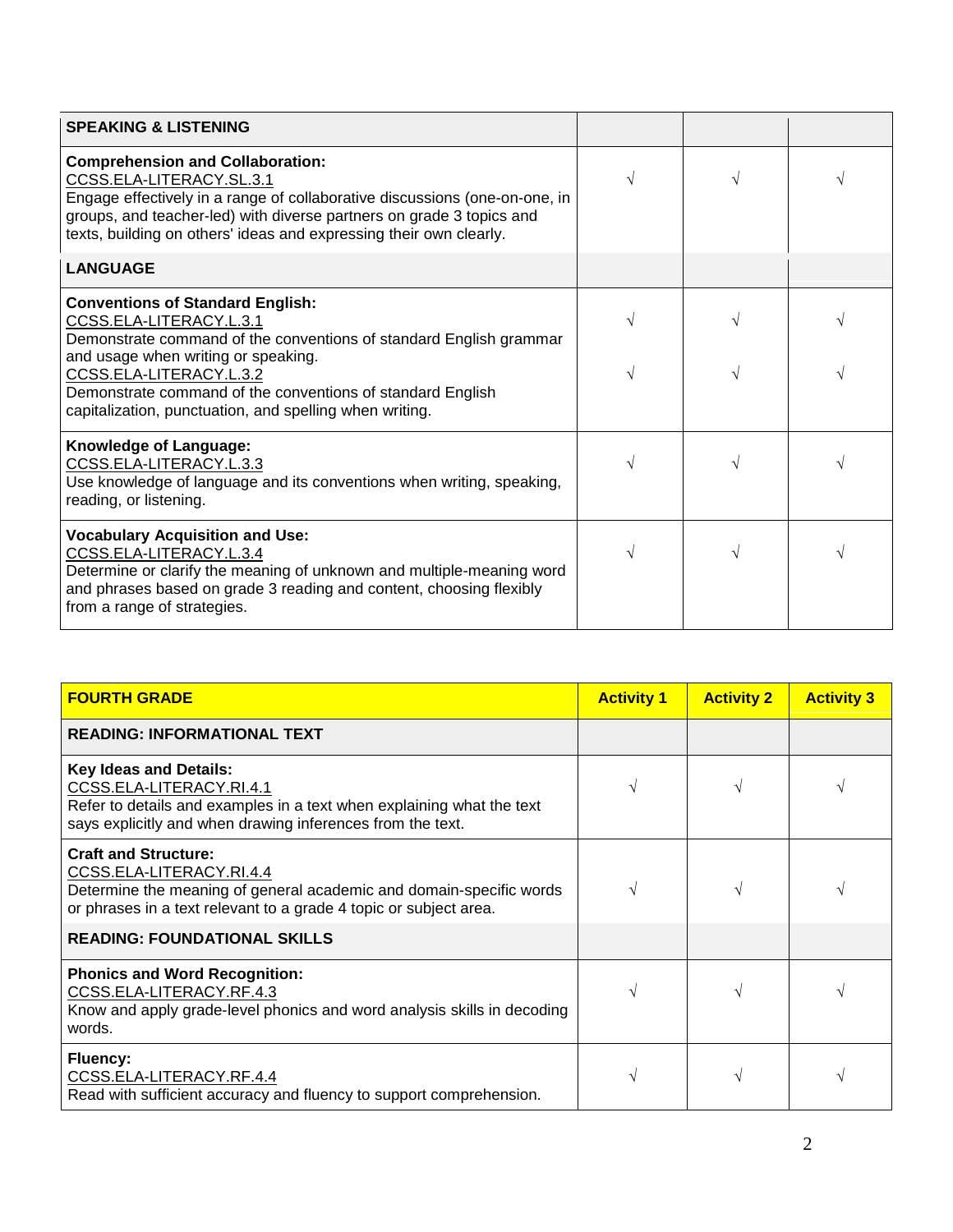| <b>SPEAKING &amp; LISTENING</b>                                                                                                                                                                                                                                                                 |  |  |
|-------------------------------------------------------------------------------------------------------------------------------------------------------------------------------------------------------------------------------------------------------------------------------------------------|--|--|
| <b>Comprehension and Collaboration:</b><br>CCSS.ELA-LITERACY.SL.3.1<br>Engage effectively in a range of collaborative discussions (one-on-one, in<br>groups, and teacher-led) with diverse partners on grade 3 topics and<br>texts, building on others' ideas and expressing their own clearly. |  |  |
| <b>LANGUAGE</b>                                                                                                                                                                                                                                                                                 |  |  |
| <b>Conventions of Standard English:</b><br>CCSS.ELA-LITERACY.L.3.1<br>Demonstrate command of the conventions of standard English grammar<br>and usage when writing or speaking.                                                                                                                 |  |  |
| CCSS.ELA-LITERACY.L.3.2<br>Demonstrate command of the conventions of standard English<br>capitalization, punctuation, and spelling when writing.                                                                                                                                                |  |  |
| Knowledge of Language:<br>CCSS.ELA-LITERACY.L.3.3<br>Use knowledge of language and its conventions when writing, speaking,<br>reading, or listening.                                                                                                                                            |  |  |
| <b>Vocabulary Acquisition and Use:</b><br>CCSS.ELA-LITERACY.L.3.4<br>Determine or clarify the meaning of unknown and multiple-meaning word<br>and phrases based on grade 3 reading and content, choosing flexibly<br>from a range of strategies.                                                |  |  |

| <b>FOURTH GRADE</b>                                                                                                                                                                                 | <b>Activity 1</b> | <b>Activity 2</b> | <b>Activity 3</b> |
|-----------------------------------------------------------------------------------------------------------------------------------------------------------------------------------------------------|-------------------|-------------------|-------------------|
| <b>READING: INFORMATIONAL TEXT</b>                                                                                                                                                                  |                   |                   |                   |
| <b>Key Ideas and Details:</b><br>CCSS.ELA-LITERACY.RI.4.1<br>Refer to details and examples in a text when explaining what the text<br>says explicitly and when drawing inferences from the text.    |                   |                   |                   |
| <b>Craft and Structure:</b><br>CCSS.ELA-LITERACY.RI.4.4<br>Determine the meaning of general academic and domain-specific words<br>or phrases in a text relevant to a grade 4 topic or subject area. |                   |                   |                   |
| <b>READING: FOUNDATIONAL SKILLS</b>                                                                                                                                                                 |                   |                   |                   |
| <b>Phonics and Word Recognition:</b><br>CCSS.ELA-LITERACY.RF.4.3<br>Know and apply grade-level phonics and word analysis skills in decoding<br>words.                                               |                   |                   |                   |
| <b>Fluency:</b><br>CCSS.ELA-LITERACY.RF.4.4<br>Read with sufficient accuracy and fluency to support comprehension.                                                                                  |                   |                   |                   |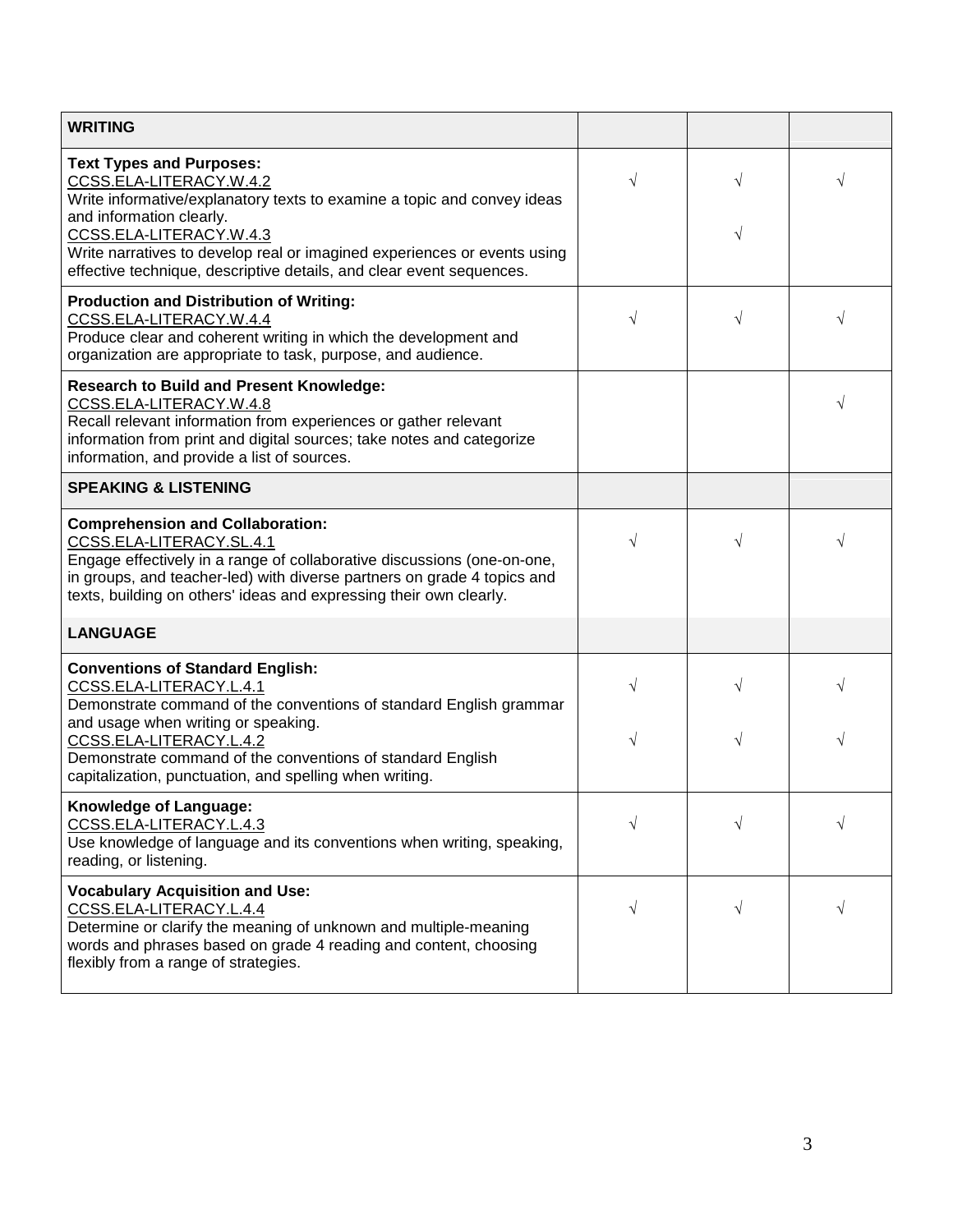| <b>WRITING</b>                                                                                                                                                                                                                                                                                                                                   |                |            |        |
|--------------------------------------------------------------------------------------------------------------------------------------------------------------------------------------------------------------------------------------------------------------------------------------------------------------------------------------------------|----------------|------------|--------|
| <b>Text Types and Purposes:</b><br>CCSS.ELA-LITERACY.W.4.2<br>Write informative/explanatory texts to examine a topic and convey ideas<br>and information clearly.<br>CCSS.ELA-LITERACY.W.4.3<br>Write narratives to develop real or imagined experiences or events using<br>effective technique, descriptive details, and clear event sequences. | $\sqrt{}$      | V<br>V     | V      |
| <b>Production and Distribution of Writing:</b><br>CCSS.ELA-LITERACY.W.4.4<br>Produce clear and coherent writing in which the development and<br>organization are appropriate to task, purpose, and audience.                                                                                                                                     | $\sqrt{ }$     | V          |        |
| <b>Research to Build and Present Knowledge:</b><br>CCSS.ELA-LITERACY.W.4.8<br>Recall relevant information from experiences or gather relevant<br>information from print and digital sources; take notes and categorize<br>information, and provide a list of sources.                                                                            |                |            | V      |
| <b>SPEAKING &amp; LISTENING</b>                                                                                                                                                                                                                                                                                                                  |                |            |        |
| <b>Comprehension and Collaboration:</b><br>CCSS.ELA-LITERACY.SL.4.1<br>Engage effectively in a range of collaborative discussions (one-on-one,<br>in groups, and teacher-led) with diverse partners on grade 4 topics and<br>texts, building on others' ideas and expressing their own clearly.                                                  | $\sqrt{}$      | √          |        |
| <b>LANGUAGE</b>                                                                                                                                                                                                                                                                                                                                  |                |            |        |
| <b>Conventions of Standard English:</b><br>CCSS.ELA-LITERACY.L.4.1<br>Demonstrate command of the conventions of standard English grammar<br>and usage when writing or speaking.<br>CCSS.ELA-LITERACY.L.4.2<br>Demonstrate command of the conventions of standard English<br>capitalization, punctuation, and spelling when writing.              | $\sqrt{}$<br>V | V          | V<br>V |
| Knowledge of Language:<br>CCSS.ELA-LITERACY.L.4.3<br>Use knowledge of language and its conventions when writing, speaking,<br>reading, or listening.                                                                                                                                                                                             | $\sqrt{}$      |            | V      |
| <b>Vocabulary Acquisition and Use:</b><br>CCSS.ELA-LITERACY.L.4.4<br>Determine or clarify the meaning of unknown and multiple-meaning<br>words and phrases based on grade 4 reading and content, choosing<br>flexibly from a range of strategies.                                                                                                | $\sqrt{}$      | $\sqrt{ }$ | V      |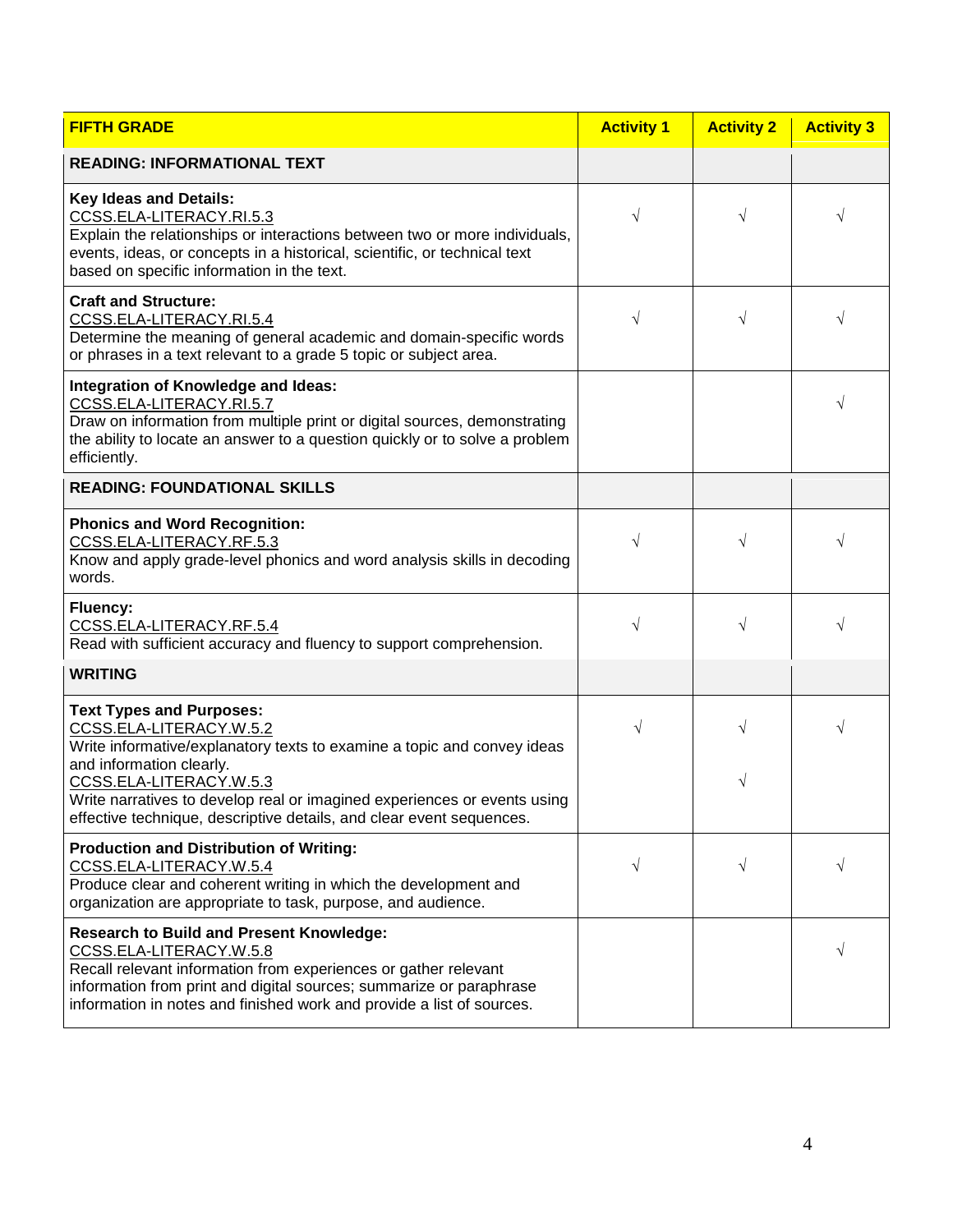| <b>FIFTH GRADE</b>                                                                                                                                                                                                                                                                            | <b>Activity 1</b> | <b>Activity 2</b> | <b>Activity 3</b> |
|-----------------------------------------------------------------------------------------------------------------------------------------------------------------------------------------------------------------------------------------------------------------------------------------------|-------------------|-------------------|-------------------|
| <b>READING: INFORMATIONAL TEXT</b>                                                                                                                                                                                                                                                            |                   |                   |                   |
| <b>Key Ideas and Details:</b><br>CCSS.ELA-LITERACY.RI.5.3<br>Explain the relationships or interactions between two or more individuals,<br>events, ideas, or concepts in a historical, scientific, or technical text<br>based on specific information in the text.                            | $\sqrt{ }$        | $\sqrt{}$         | V                 |
| <b>Craft and Structure:</b><br>CCSS.ELA-LITERACY.RI.5.4<br>Determine the meaning of general academic and domain-specific words<br>or phrases in a text relevant to a grade 5 topic or subject area.                                                                                           | $\sqrt{}$         | $\sqrt{}$         | V                 |
| <b>Integration of Knowledge and Ideas:</b><br>CCSS.ELA-LITERACY.RI.5.7<br>Draw on information from multiple print or digital sources, demonstrating<br>the ability to locate an answer to a question quickly or to solve a problem<br>efficiently.                                            |                   |                   | V                 |
| <b>READING: FOUNDATIONAL SKILLS</b>                                                                                                                                                                                                                                                           |                   |                   |                   |
| <b>Phonics and Word Recognition:</b><br>CCSS.ELA-LITERACY.RF.5.3<br>Know and apply grade-level phonics and word analysis skills in decoding<br>words.                                                                                                                                         | $\sqrt{}$         | V                 | V                 |
| Fluency:<br>CCSS.ELA-LITERACY.RF.5.4<br>Read with sufficient accuracy and fluency to support comprehension.                                                                                                                                                                                   | $\sqrt{ }$        | $\sqrt{}$         | $\sqrt{}$         |
| <b>WRITING</b>                                                                                                                                                                                                                                                                                |                   |                   |                   |
| <b>Text Types and Purposes:</b><br>CCSS.ELA-LITERACY.W.5.2<br>Write informative/explanatory texts to examine a topic and convey ideas<br>and information clearly.<br>CCSS.ELA-LITERACY.W.5.3                                                                                                  | $\sqrt{}$         | V<br>V            | $\sqrt{}$         |
| Write narratives to develop real or imagined experiences or events using<br>effective technique, descriptive details, and clear event sequences.                                                                                                                                              |                   |                   |                   |
| <b>Production and Distribution of Writing:</b><br>CCSS.ELA-LITERACY.W.5.4<br>Produce clear and coherent writing in which the development and<br>organization are appropriate to task, purpose, and audience.                                                                                  | $\sqrt{}$         | V                 | V                 |
| <b>Research to Build and Present Knowledge:</b><br>CCSS.ELA-LITERACY.W.5.8<br>Recall relevant information from experiences or gather relevant<br>information from print and digital sources; summarize or paraphrase<br>information in notes and finished work and provide a list of sources. |                   |                   | V                 |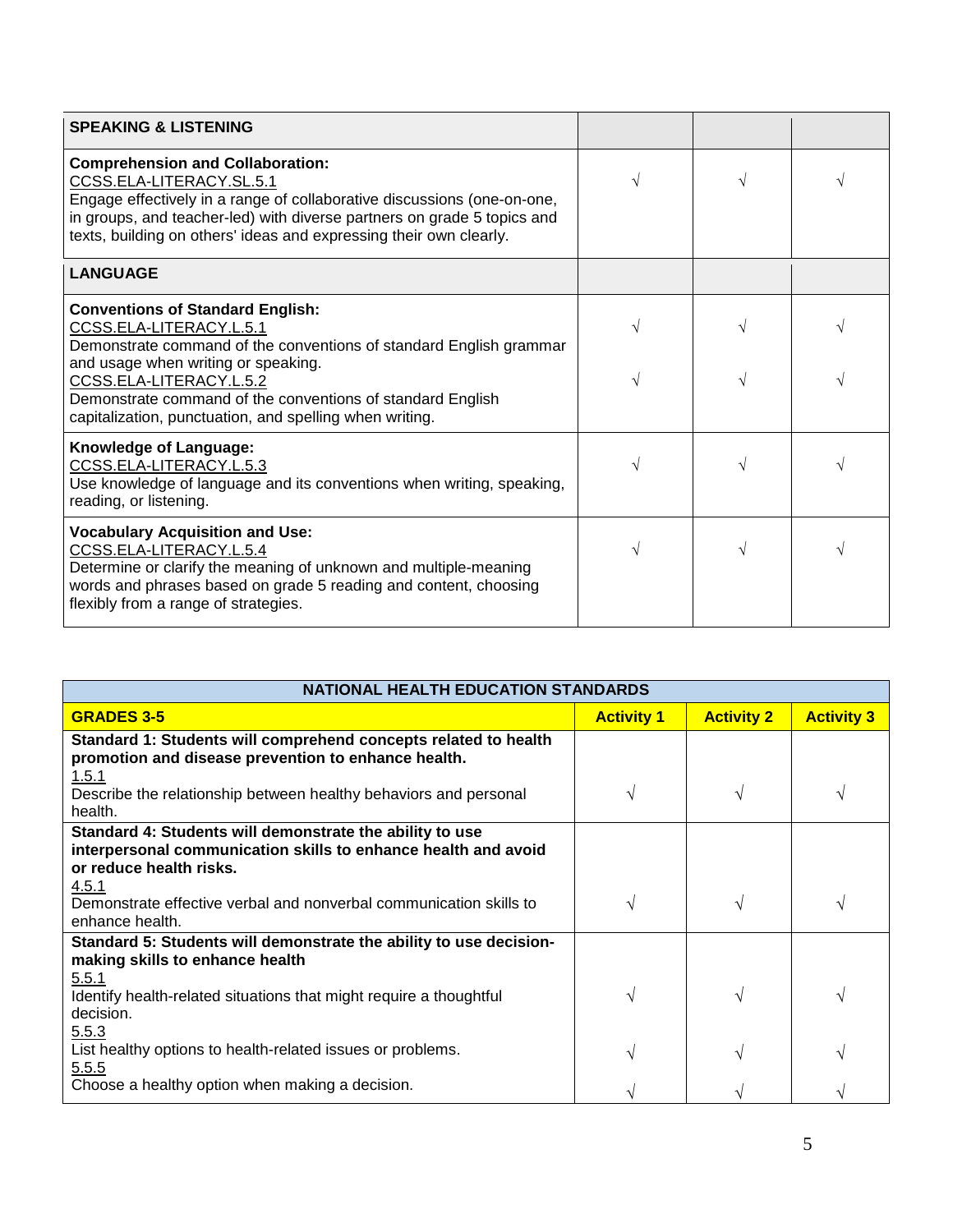| <b>SPEAKING &amp; LISTENING</b>                                                                                                                                                                                                                                                                 |           |  |
|-------------------------------------------------------------------------------------------------------------------------------------------------------------------------------------------------------------------------------------------------------------------------------------------------|-----------|--|
| <b>Comprehension and Collaboration:</b><br>CCSS.ELA-LITERACY.SL.5.1<br>Engage effectively in a range of collaborative discussions (one-on-one,<br>in groups, and teacher-led) with diverse partners on grade 5 topics and<br>texts, building on others' ideas and expressing their own clearly. | $\sqrt{}$ |  |
| <b>LANGUAGE</b>                                                                                                                                                                                                                                                                                 |           |  |
| <b>Conventions of Standard English:</b><br>CCSS.ELA-LITERACY.L.5.1<br>Demonstrate command of the conventions of standard English grammar                                                                                                                                                        |           |  |
| and usage when writing or speaking.<br>CCSS.ELA-LITERACY.L.5.2<br>Demonstrate command of the conventions of standard English<br>capitalization, punctuation, and spelling when writing.                                                                                                         |           |  |
| Knowledge of Language:<br>CCSS.ELA-LITERACY.L.5.3<br>Use knowledge of language and its conventions when writing, speaking,<br>reading, or listening.                                                                                                                                            |           |  |
| <b>Vocabulary Acquisition and Use:</b><br>CCSS.ELA-LITERACY.L.5.4<br>Determine or clarify the meaning of unknown and multiple-meaning<br>words and phrases based on grade 5 reading and content, choosing<br>flexibly from a range of strategies.                                               | V         |  |

| <b>NATIONAL HEALTH EDUCATION STANDARDS</b>                                                                                                                     |                   |                   |                   |
|----------------------------------------------------------------------------------------------------------------------------------------------------------------|-------------------|-------------------|-------------------|
| <b>GRADES 3-5</b>                                                                                                                                              | <b>Activity 1</b> | <b>Activity 2</b> | <b>Activity 3</b> |
| Standard 1: Students will comprehend concepts related to health<br>promotion and disease prevention to enhance health.<br>1.5.1                                |                   |                   |                   |
| Describe the relationship between healthy behaviors and personal<br>health.                                                                                    | V                 |                   | V                 |
| Standard 4: Students will demonstrate the ability to use<br>interpersonal communication skills to enhance health and avoid<br>or reduce health risks.<br>4.5.1 |                   |                   |                   |
| Demonstrate effective verbal and nonverbal communication skills to<br>enhance health.                                                                          | V                 |                   | V                 |
| Standard 5: Students will demonstrate the ability to use decision-<br>making skills to enhance health<br>5.5.1                                                 |                   |                   |                   |
| Identify health-related situations that might require a thoughtful<br>decision.<br>5.5.3                                                                       | V                 |                   | V                 |
| List healthy options to health-related issues or problems.<br>5.5.5                                                                                            | V                 |                   | ا^                |
| Choose a healthy option when making a decision.                                                                                                                |                   |                   |                   |